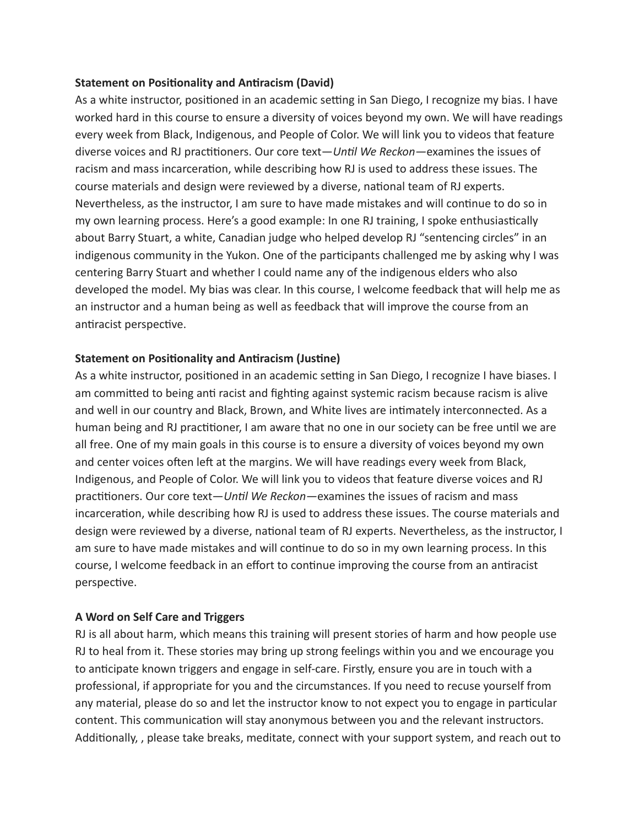## **Statement on Positionality and Antiracism (David)**

As a white instructor, positioned in an academic setting in San Diego, I recognize my bias. I have worked hard in this course to ensure a diversity of voices beyond my own. We will have readings every week from Black, Indigenous, and People of Color. We will link you to videos that feature diverse voices and RJ practitioners. Our core text— *Until We Reckon*— examines the issues of racism and mass incarceration, while describing how RJ is used to address these issues. The course materials and design were reviewed by a diverse, national team of RJ experts. Nevertheless, as the instructor, I am sure to have made mistakes and will continue to do so in my own learning process. Here's a good example: In one RJ training, I spoke enthusiastically about Barry Stuart, a white, Canadian judge who helped develop RJ "sentencing circles" in an indigenous community in the Yukon. One of the participants challenged me by asking why I was centering Barry Stuart and whether I could name any of the indigenous elders who also developed the model. My bias was clear. In this course, I welcome feedback that will help me as an instructor and a human being as well as feedback that will improve the course from an antiracist perspective.

## **Statement on Positionality and Antiracism (Justine)**

As a white instructor, positioned in an academic setting in San Diego, I recognize I have biases. I am committed to being anti racist and fighting against systemic racism because racism is alive and well in our country and Black, Brown, and White lives are intimately interconnected. As a human being and RJ practitioner, I am aware that no one in our society can be free until we are all free. One of my main goals in this course is to ensure a diversity of voices beyond my own and center voices often left at the margins. We will have readings every week from Black, Indigenous, and People of Color. We will link you to videos that feature diverse voices and RJ practitioners. Our core text— *Until We Reckon*— examines the issues of racism and mass incarceration, while describing how RJ is used to address these issues. The course materials and design were reviewed by a diverse, national team of RJ experts. Nevertheless, as the instructor, I am sure to have made mistakes and will continue to do so in my own learning process. In this course, I welcome feedback in an effort to continue improving the course from an antiracist perspective.

## **A Word on Self Care and Triggers**

RJ is all about harm, which means this training will present stories of harm and how people use RJ to heal from it. These stories may bring up strong feelings within you and we encourage you to anticipate known triggers and engage in self-care. Firstly, ensure you are in touch with a professional, if appropriate for you and the circumstances. If you need to recuse yourself from any material, please do so and let the instructor know to not expect you to engage in particular content. This communication will stay anonymous between you and the relevant instructors. Additionally, , please take breaks, meditate, connect with your support system, and reach out to